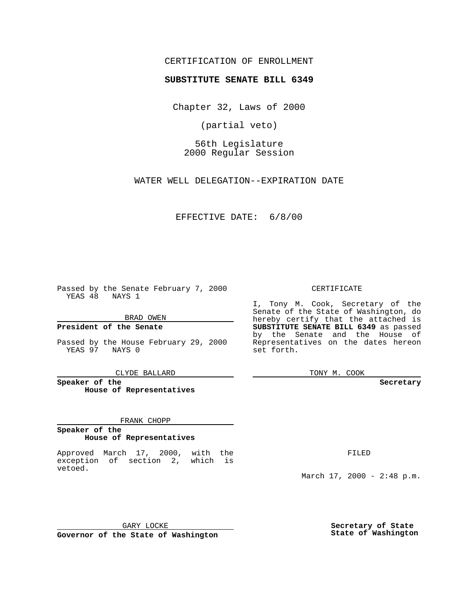## CERTIFICATION OF ENROLLMENT

# **SUBSTITUTE SENATE BILL 6349**

Chapter 32, Laws of 2000

(partial veto)

56th Legislature 2000 Regular Session

WATER WELL DELEGATION--EXPIRATION DATE

## EFFECTIVE DATE: 6/8/00

Passed by the Senate February 7, 2000 YEAS 48 NAYS 1

## BRAD OWEN

**President of the Senate**

Passed by the House February 29, 2000 YEAS 97 NAYS 0

CLYDE BALLARD

**Speaker of the House of Representatives**

#### FRANK CHOPP

#### **Speaker of the House of Representatives**

Approved March 17, 2000, with the exception of section 2, which is vetoed.

## CERTIFICATE

I, Tony M. Cook, Secretary of the Senate of the State of Washington, do hereby certify that the attached is **SUBSTITUTE SENATE BILL 6349** as passed by the Senate and the House of Representatives on the dates hereon set forth.

TONY M. COOK

#### **Secretary**

FILED

March 17, 2000 - 2:48 p.m.

GARY LOCKE **Governor of the State of Washington** **Secretary of State State of Washington**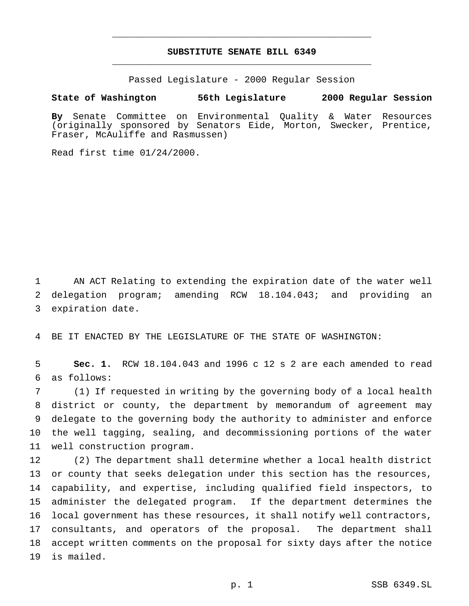# **SUBSTITUTE SENATE BILL 6349** \_\_\_\_\_\_\_\_\_\_\_\_\_\_\_\_\_\_\_\_\_\_\_\_\_\_\_\_\_\_\_\_\_\_\_\_\_\_\_\_\_\_\_\_\_\_\_

\_\_\_\_\_\_\_\_\_\_\_\_\_\_\_\_\_\_\_\_\_\_\_\_\_\_\_\_\_\_\_\_\_\_\_\_\_\_\_\_\_\_\_\_\_\_\_

Passed Legislature - 2000 Regular Session

**State of Washington 56th Legislature 2000 Regular Session**

**By** Senate Committee on Environmental Quality & Water Resources (originally sponsored by Senators Eide, Morton, Swecker, Prentice, Fraser, McAuliffe and Rasmussen)

Read first time 01/24/2000.

 AN ACT Relating to extending the expiration date of the water well delegation program; amending RCW 18.104.043; and providing an expiration date.

BE IT ENACTED BY THE LEGISLATURE OF THE STATE OF WASHINGTON:

 **Sec. 1.** RCW 18.104.043 and 1996 c 12 s 2 are each amended to read as follows:

 (1) If requested in writing by the governing body of a local health district or county, the department by memorandum of agreement may delegate to the governing body the authority to administer and enforce the well tagging, sealing, and decommissioning portions of the water well construction program.

 (2) The department shall determine whether a local health district or county that seeks delegation under this section has the resources, capability, and expertise, including qualified field inspectors, to administer the delegated program. If the department determines the local government has these resources, it shall notify well contractors, consultants, and operators of the proposal. The department shall accept written comments on the proposal for sixty days after the notice is mailed.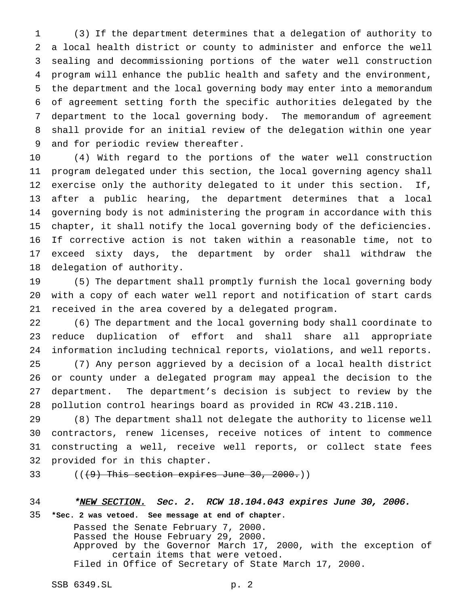(3) If the department determines that a delegation of authority to a local health district or county to administer and enforce the well sealing and decommissioning portions of the water well construction program will enhance the public health and safety and the environment, the department and the local governing body may enter into a memorandum of agreement setting forth the specific authorities delegated by the department to the local governing body. The memorandum of agreement shall provide for an initial review of the delegation within one year and for periodic review thereafter.

 (4) With regard to the portions of the water well construction program delegated under this section, the local governing agency shall exercise only the authority delegated to it under this section. If, after a public hearing, the department determines that a local governing body is not administering the program in accordance with this chapter, it shall notify the local governing body of the deficiencies. If corrective action is not taken within a reasonable time, not to exceed sixty days, the department by order shall withdraw the delegation of authority.

 (5) The department shall promptly furnish the local governing body with a copy of each water well report and notification of start cards received in the area covered by a delegated program.

 (6) The department and the local governing body shall coordinate to reduce duplication of effort and shall share all appropriate information including technical reports, violations, and well reports. (7) Any person aggrieved by a decision of a local health district or county under a delegated program may appeal the decision to the department. The department's decision is subject to review by the pollution control hearings board as provided in RCW 43.21B.110.

 (8) The department shall not delegate the authority to license well contractors, renew licenses, receive notices of intent to commence constructing a well, receive well reports, or collect state fees provided for in this chapter.

33  $((49)$  This section expires June 30, 2000.)

# 34 \*NEW SECTION. Sec. 2. RCW 18.104.043 expires June 30, 2006. **\*Sec. 2 was vetoed. See message at end of chapter.**

Passed the Senate February 7, 2000. Passed the House February 29, 2000. Approved by the Governor March 17, 2000, with the exception of certain items that were vetoed. Filed in Office of Secretary of State March 17, 2000.

SSB 6349.SL p. 2